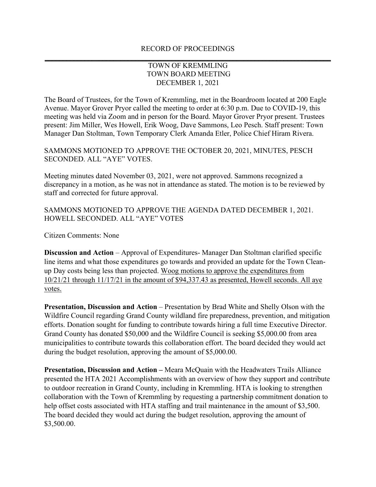## RECORD OF PROCEEDINGS **\_\_\_\_\_\_\_\_\_\_\_\_\_\_\_\_\_\_\_\_\_\_\_\_\_\_\_\_\_\_\_\_\_\_\_\_\_\_\_\_\_\_\_\_\_\_\_\_\_\_\_\_\_\_\_\_\_\_\_\_\_\_\_\_\_\_\_\_\_\_\_\_\_\_\_\_\_\_\_**

## TOWN OF KREMMLING TOWN BOARD MEETING DECEMBER 1, 2021

The Board of Trustees, for the Town of Kremmling, met in the Boardroom located at 200 Eagle Avenue. Mayor Grover Pryor called the meeting to order at 6:30 p.m. Due to COVID-19, this meeting was held via Zoom and in person for the Board. Mayor Grover Pryor present. Trustees present: Jim Miller, Wes Howell, Erik Woog, Dave Sammons, Leo Pesch. Staff present: Town Manager Dan Stoltman, Town Temporary Clerk Amanda Etler, Police Chief Hiram Rivera.

SAMMONS MOTIONED TO APPROVE THE OCTOBER 20, 2021, MINUTES, PESCH SECONDED. ALL "AYE" VOTES.

Meeting minutes dated November 03, 2021, were not approved. Sammons recognized a discrepancy in a motion, as he was not in attendance as stated. The motion is to be reviewed by staff and corrected for future approval.

SAMMONS MOTIONED TO APPROVE THE AGENDA DATED DECEMBER 1, 2021. HOWELL SECONDED. ALL "AYE" VOTES

Citizen Comments: None

**Discussion and Action** – Approval of Expenditures- Manager Dan Stoltman clarified specific line items and what those expenditures go towards and provided an update for the Town Cleanup Day costs being less than projected. Woog motions to approve the expenditures from 10/21/21 through 11/17/21 in the amount of \$94,337.43 as presented, Howell seconds. All aye votes.

**Presentation, Discussion and Action** – Presentation by Brad White and Shelly Olson with the Wildfire Council regarding Grand County wildland fire preparedness, prevention, and mitigation efforts. Donation sought for funding to contribute towards hiring a full time Executive Director. Grand County has donated \$50,000 and the Wildfire Council is seeking \$5,000.00 from area municipalities to contribute towards this collaboration effort. The board decided they would act during the budget resolution, approving the amount of \$5,000.00.

**Presentation, Discussion and Action –** Meara McQuain with the Headwaters Trails Alliance presented the HTA 2021 Accomplishments with an overview of how they support and contribute to outdoor recreation in Grand County, including in Kremmling. HTA is looking to strengthen collaboration with the Town of Kremmling by requesting a partnership commitment donation to help offset costs associated with HTA staffing and trail maintenance in the amount of \$3,500. The board decided they would act during the budget resolution, approving the amount of \$3,500.00.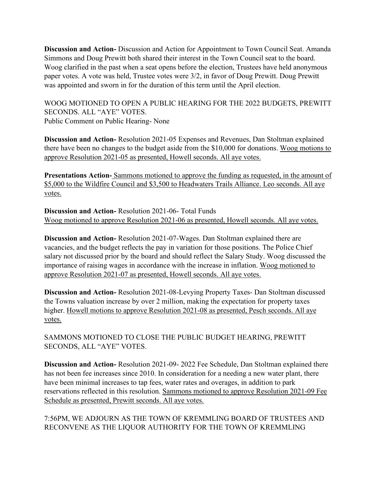**Discussion and Action-** Discussion and Action for Appointment to Town Council Seat. Amanda Simmons and Doug Prewitt both shared their interest in the Town Council seat to the board. Woog clarified in the past when a seat opens before the election, Trustees have held anonymous paper votes. A vote was held, Trustee votes were 3/2, in favor of Doug Prewitt. Doug Prewitt was appointed and sworn in for the duration of this term until the April election.

WOOG MOTIONED TO OPEN A PUBLIC HEARING FOR THE 2022 BUDGETS, PREWITT SECONDS. ALL "AYE" VOTES. Public Comment on Public Hearing- None

**Discussion and Action-** Resolution 2021-05 Expenses and Revenues, Dan Stoltman explained there have been no changes to the budget aside from the \$10,000 for donations. Woog motions to approve Resolution 2021-05 as presented, Howell seconds. All aye votes.

**Presentations Action-** Sammons motioned to approve the funding as requested, in the amount of \$5,000 to the Wildfire Council and \$3,500 to Headwaters Trails Alliance. Leo seconds. All aye votes.

**Discussion and Action-** Resolution 2021-06- Total Funds Woog motioned to approve Resolution 2021-06 as presented, Howell seconds. All aye votes.

**Discussion and Action-** Resolution 2021-07-Wages. Dan Stoltman explained there are vacancies, and the budget reflects the pay in variation for those positions. The Police Chief salary not discussed prior by the board and should reflect the Salary Study. Woog discussed the importance of raising wages in accordance with the increase in inflation. Woog motioned to approve Resolution 2021-07 as presented, Howell seconds. All aye votes.

**Discussion and Action-** Resolution 2021-08-Levying Property Taxes- Dan Stoltman discussed the Towns valuation increase by over 2 million, making the expectation for property taxes higher. Howell motions to approve Resolution 2021-08 as presented, Pesch seconds. All aye votes.

SAMMONS MOTIONED TO CLOSE THE PUBLIC BUDGET HEARING, PREWITT SECONDS, ALL "AYE" VOTES.

**Discussion and Action-** Resolution 2021-09- 2022 Fee Schedule, Dan Stoltman explained there has not been fee increases since 2010. In consideration for a needing a new water plant, there have been minimal increases to tap fees, water rates and overages, in addition to park reservations reflected in this resolution. Sammons motioned to approve Resolution 2021-09 Fee Schedule as presented, Prewitt seconds. All aye votes.

7:56PM, WE ADJOURN AS THE TOWN OF KREMMLING BOARD OF TRUSTEES AND RECONVENE AS THE LIQUOR AUTHORITY FOR THE TOWN OF KREMMLING